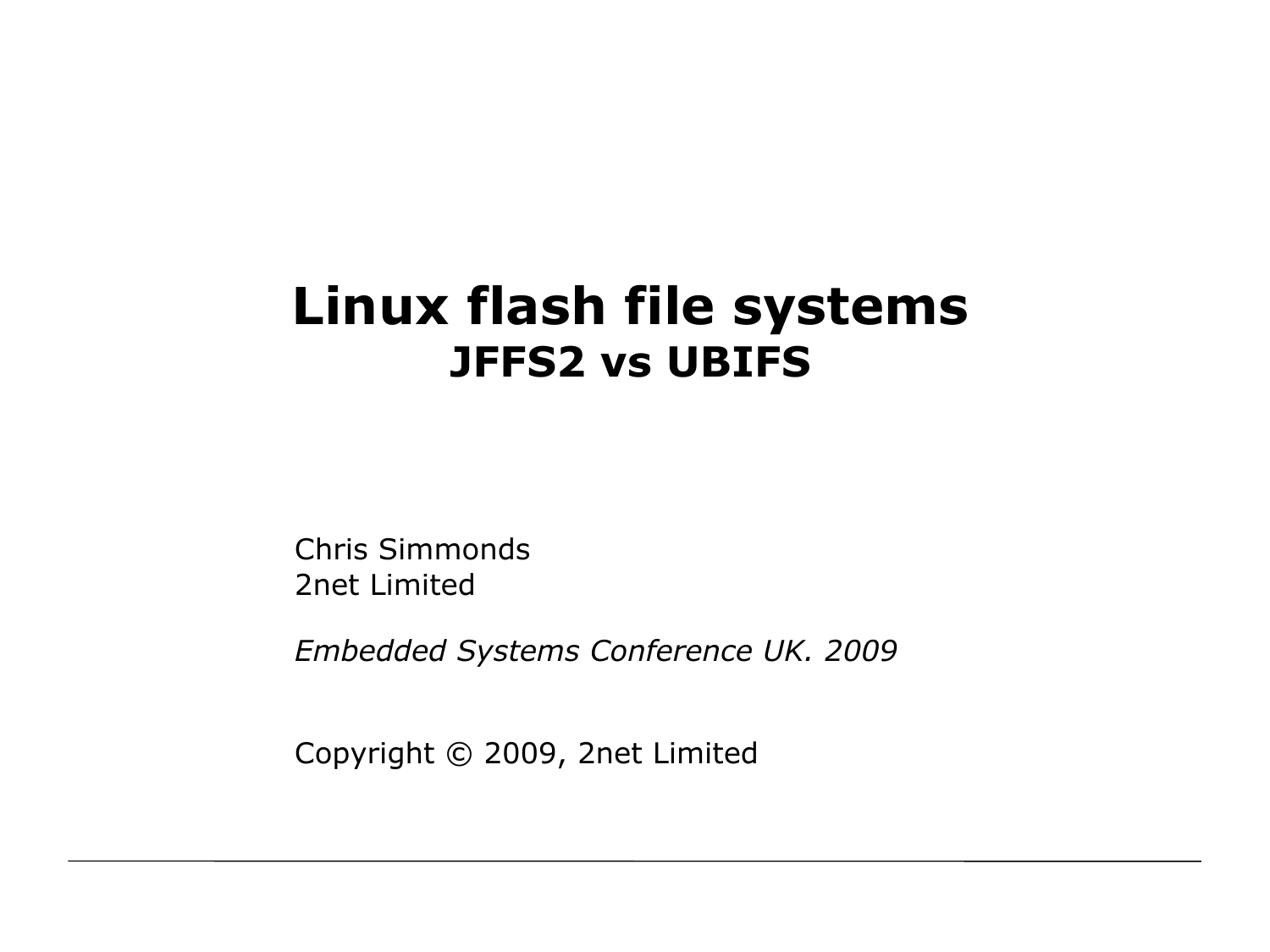#### **Linux flash file systems JFFS2 vs UBIFS**

Chris Simmonds 2net Limited

*Embedded Systems Conference UK. 2009*

Copyright © 2009, 2net Limited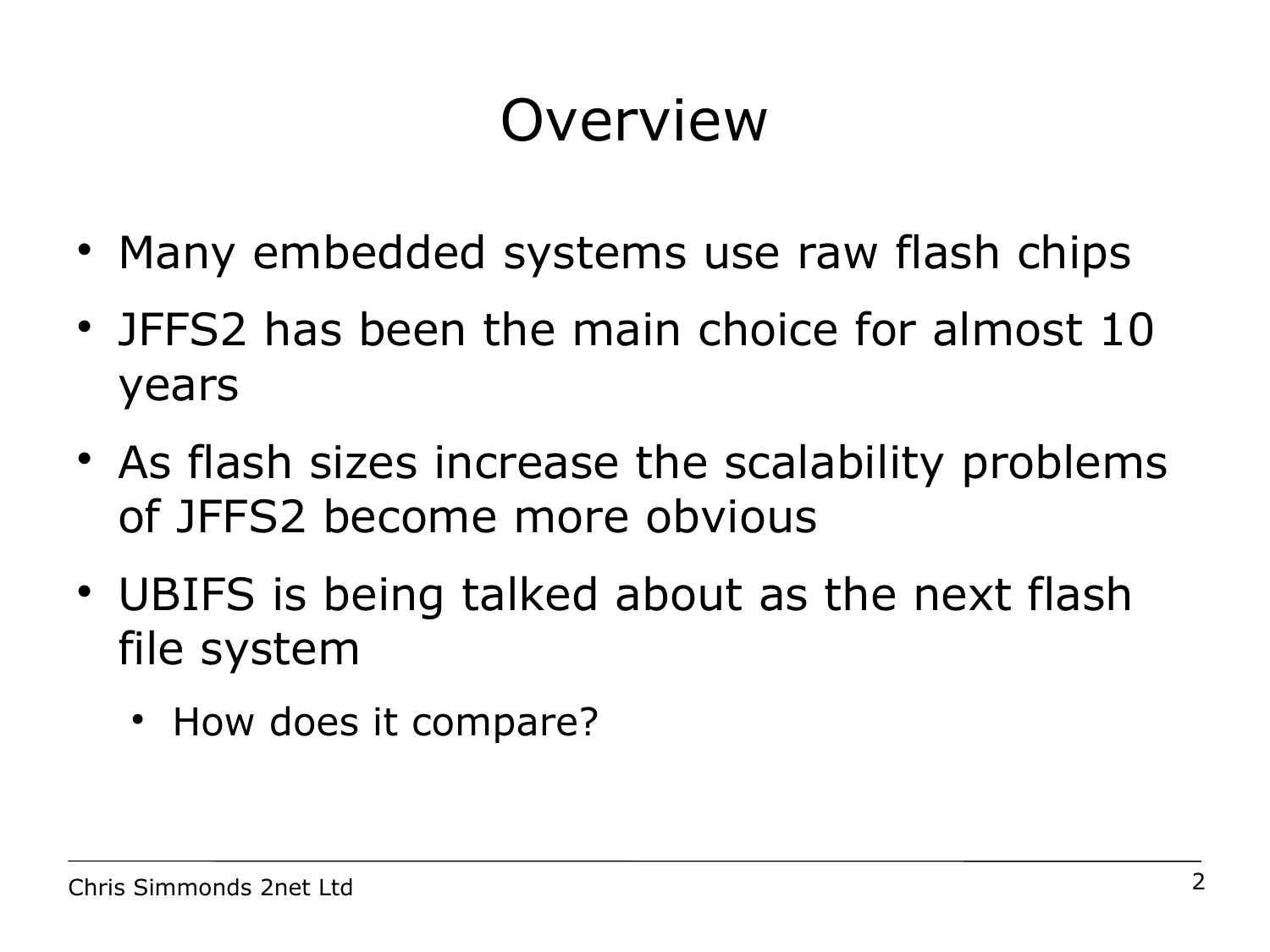#### Overview

- Many embedded systems use raw flash chips
- JFFS2 has been the main choice for almost 10 years
- As flash sizes increase the scalability problems of JFFS2 become more obvious
- UBIFS is being talked about as the next flash file system
	- How does it compare?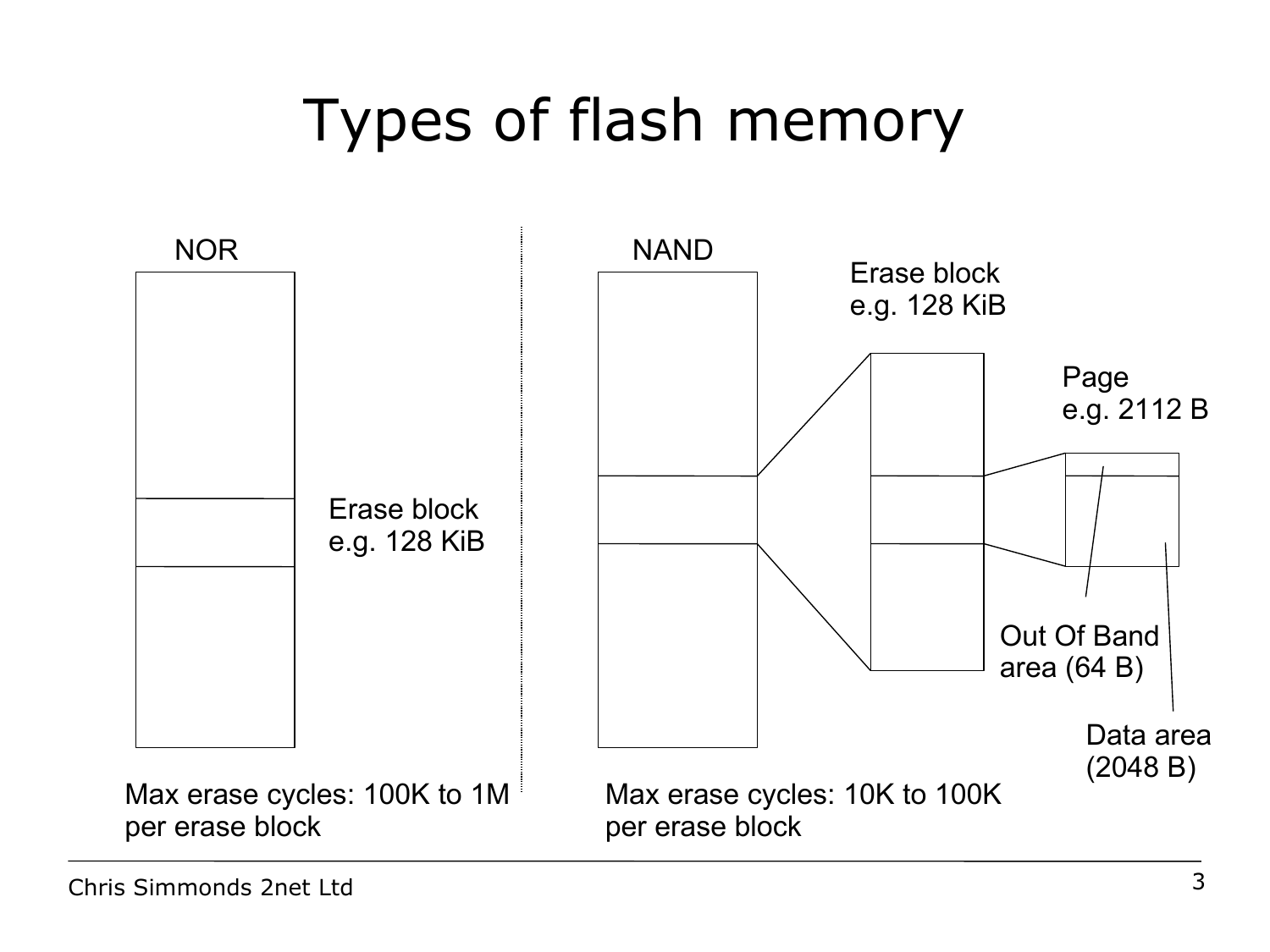# Types of flash memory

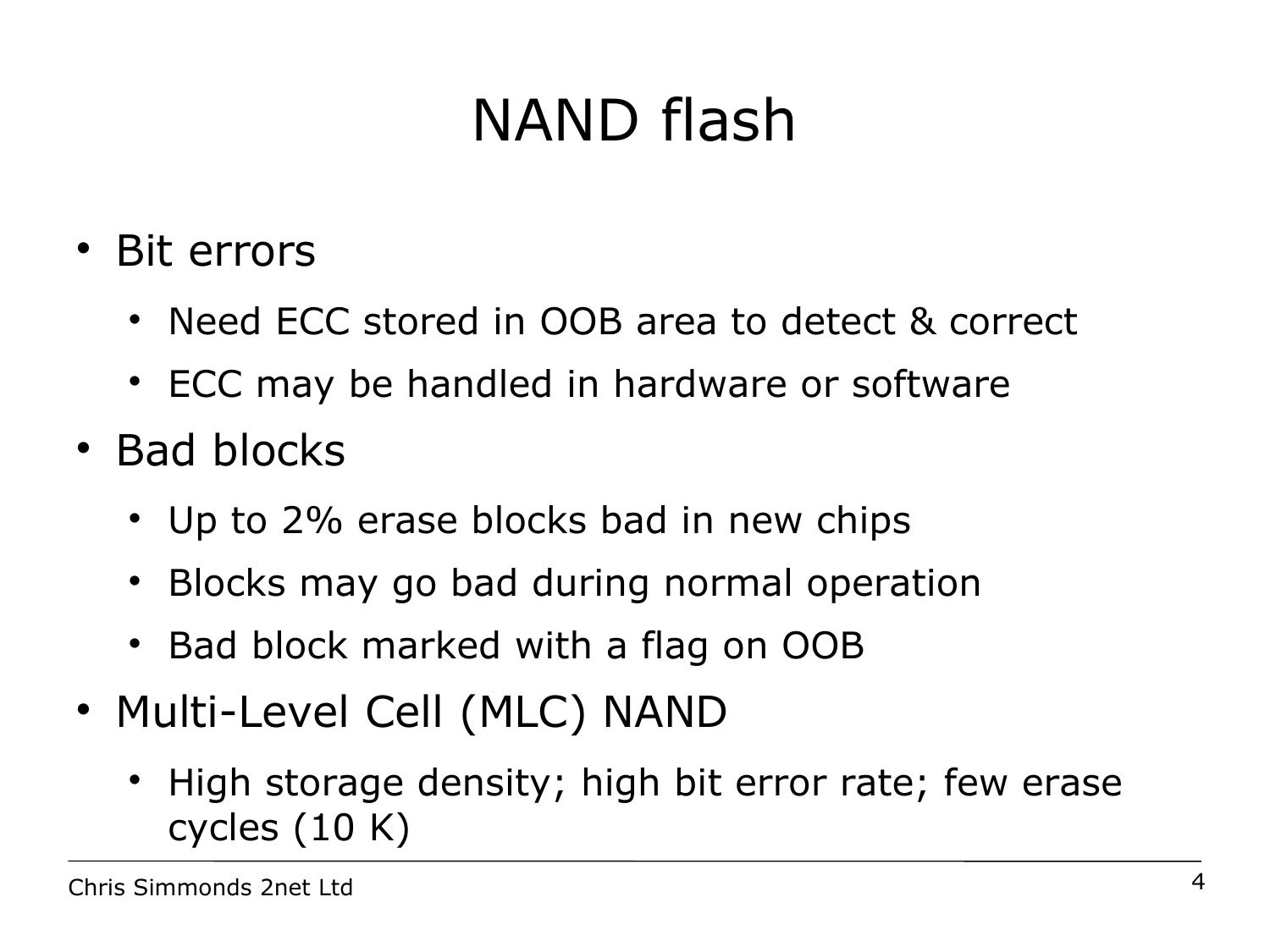# NAND flash

- Bit errors
	- Need ECC stored in OOB area to detect & correct
	- ECC may be handled in hardware or software
- Bad blocks
	- Up to 2% erase blocks bad in new chips
	- Blocks may go bad during normal operation
	- Bad block marked with a flag on OOB
- Multi-Level Cell (MLC) NAND
	- High storage density; high bit error rate; few erase cycles (10 K)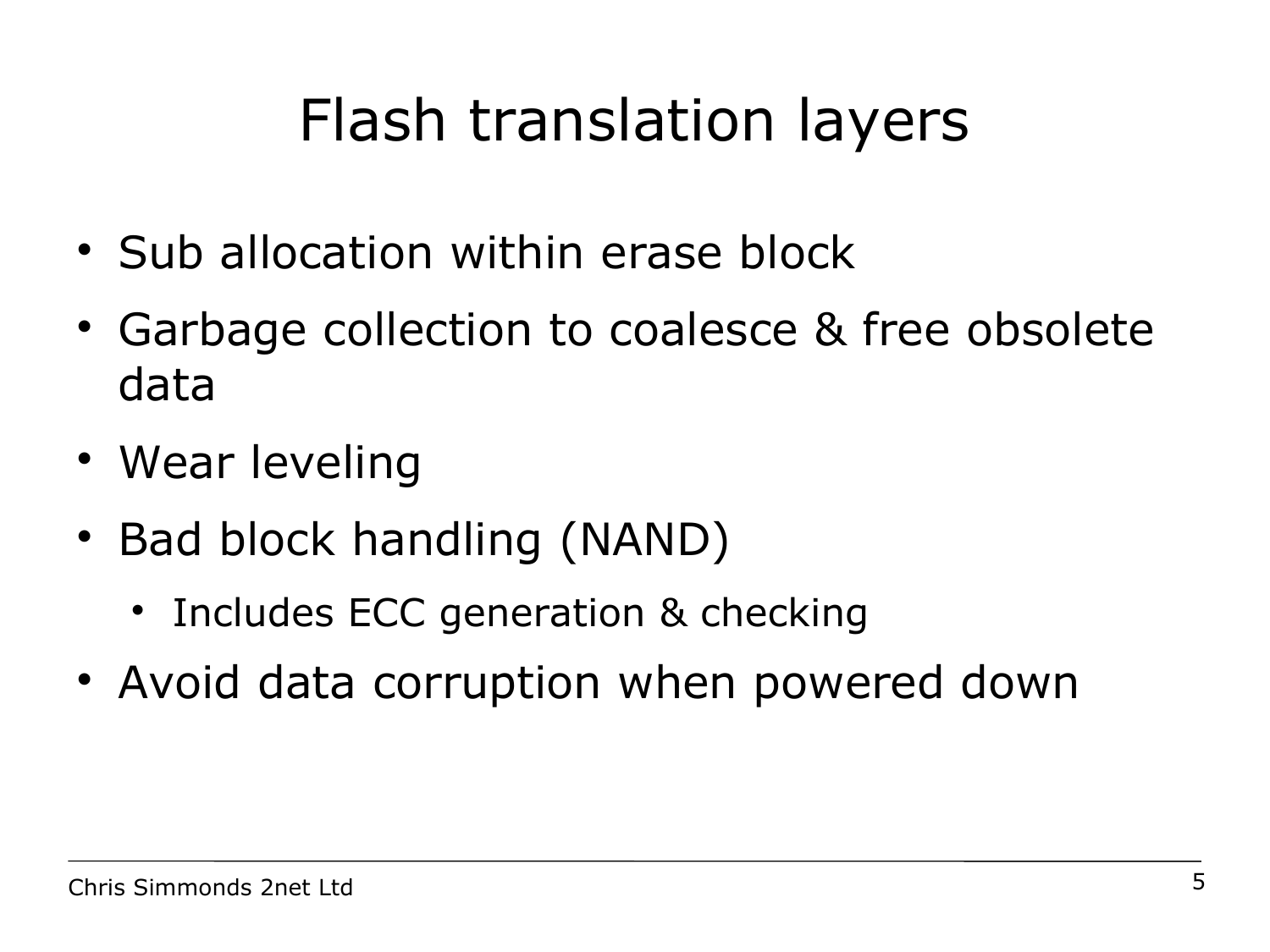# Flash translation layers

- Sub allocation within erase block
- Garbage collection to coalesce & free obsolete data
- Wear leveling
- Bad block handling (NAND)
	- Includes ECC generation & checking
- Avoid data corruption when powered down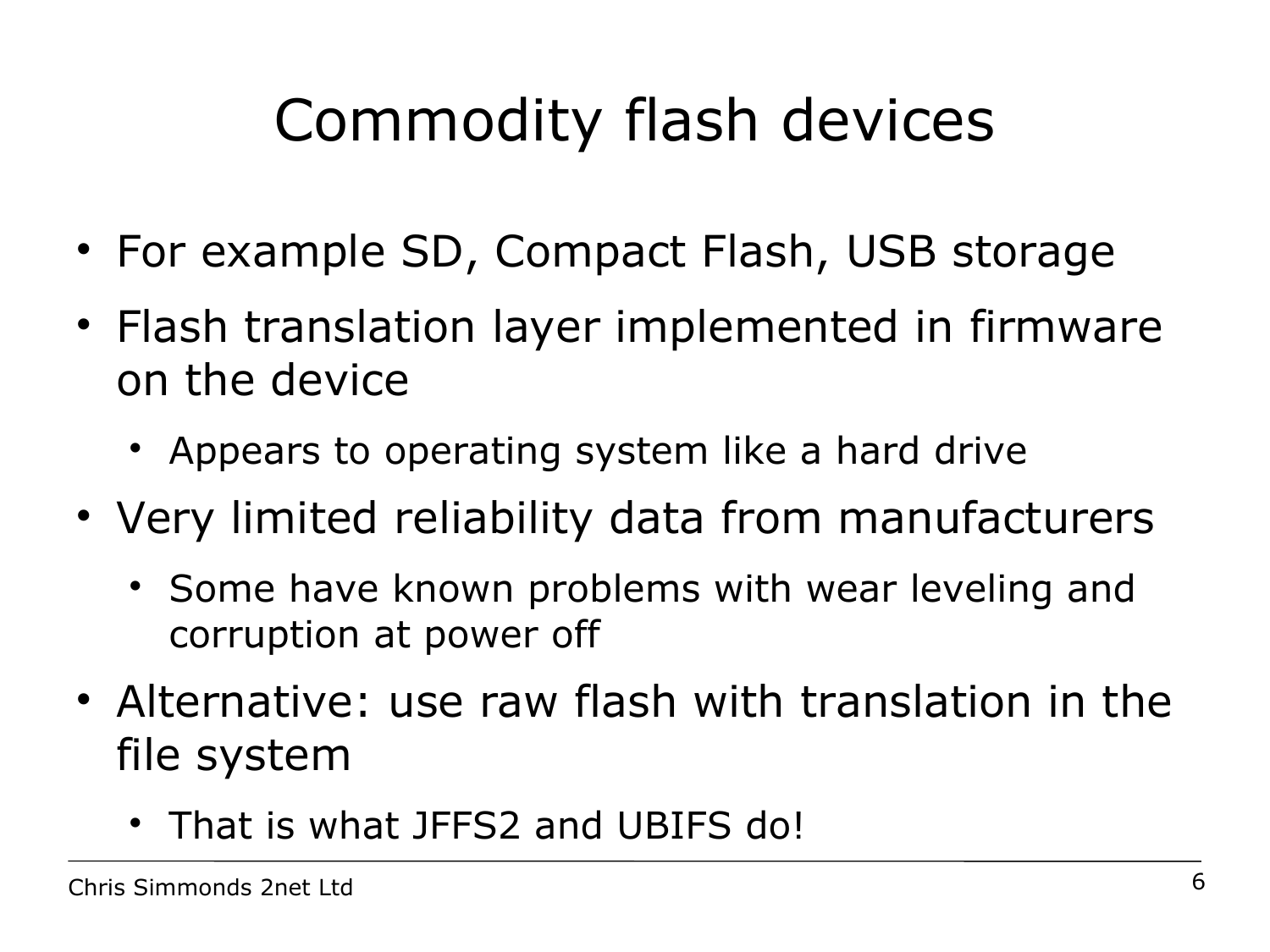# Commodity flash devices

- For example SD, Compact Flash, USB storage
- Flash translation layer implemented in firmware on the device
	- Appears to operating system like a hard drive
- Very limited reliability data from manufacturers
	- Some have known problems with wear leveling and corruption at power off
- Alternative: use raw flash with translation in the file system
	- That is what JFFS2 and UBIFS do!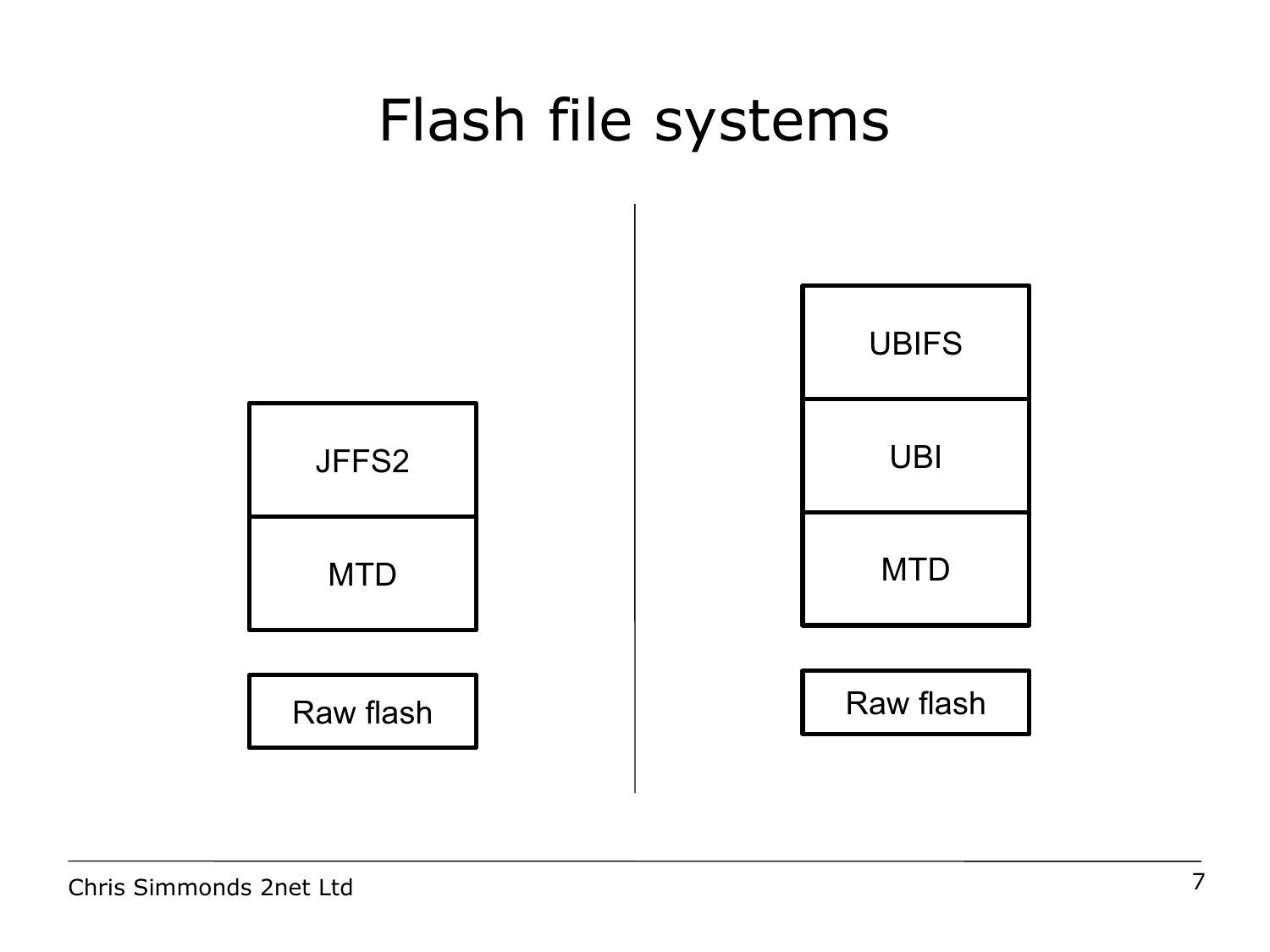#### Flash file systems

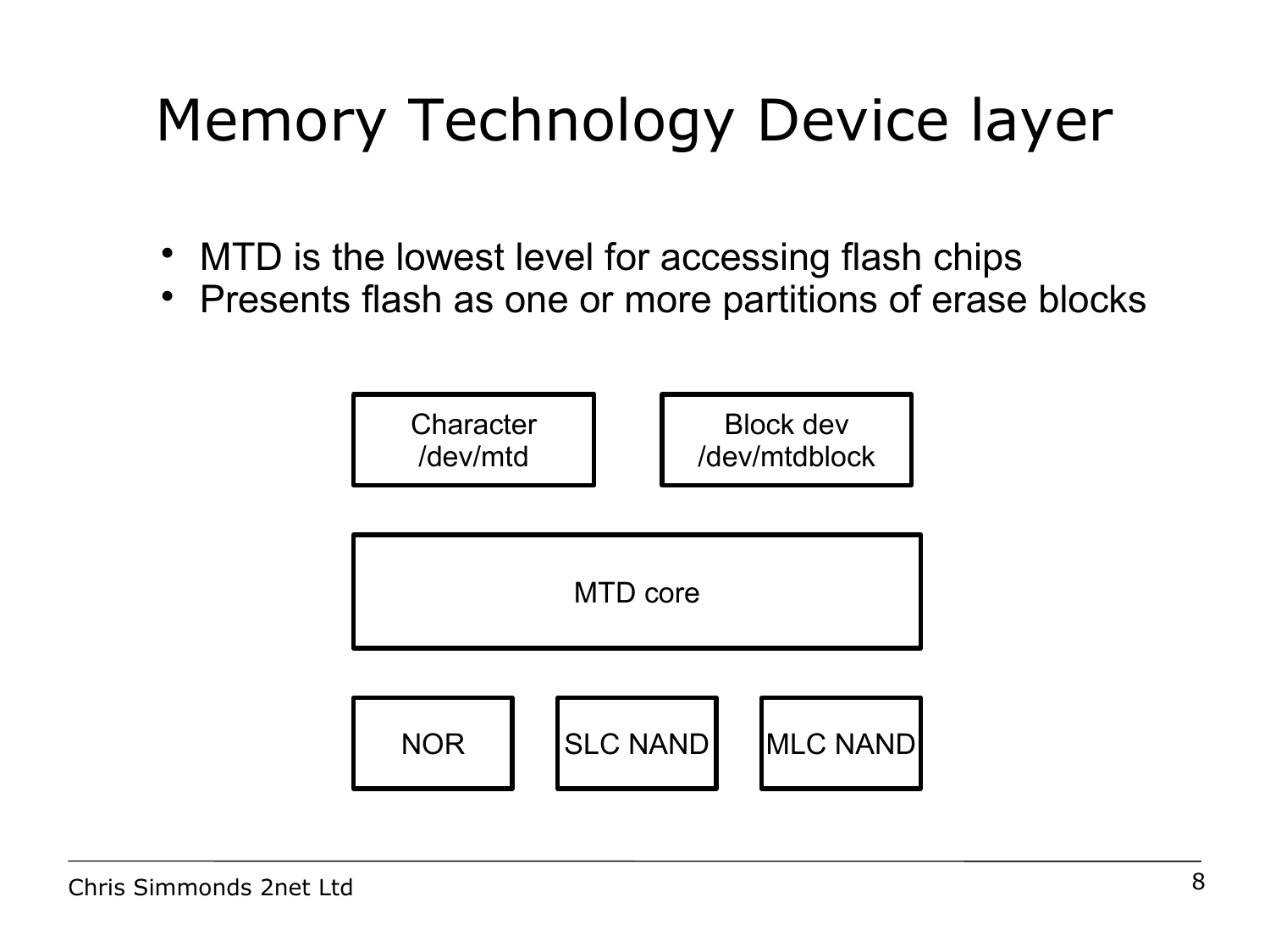# Memory Technology Device layer

- MTD is the lowest level for accessing flash chips
- Presents flash as one or more partitions of erase blocks

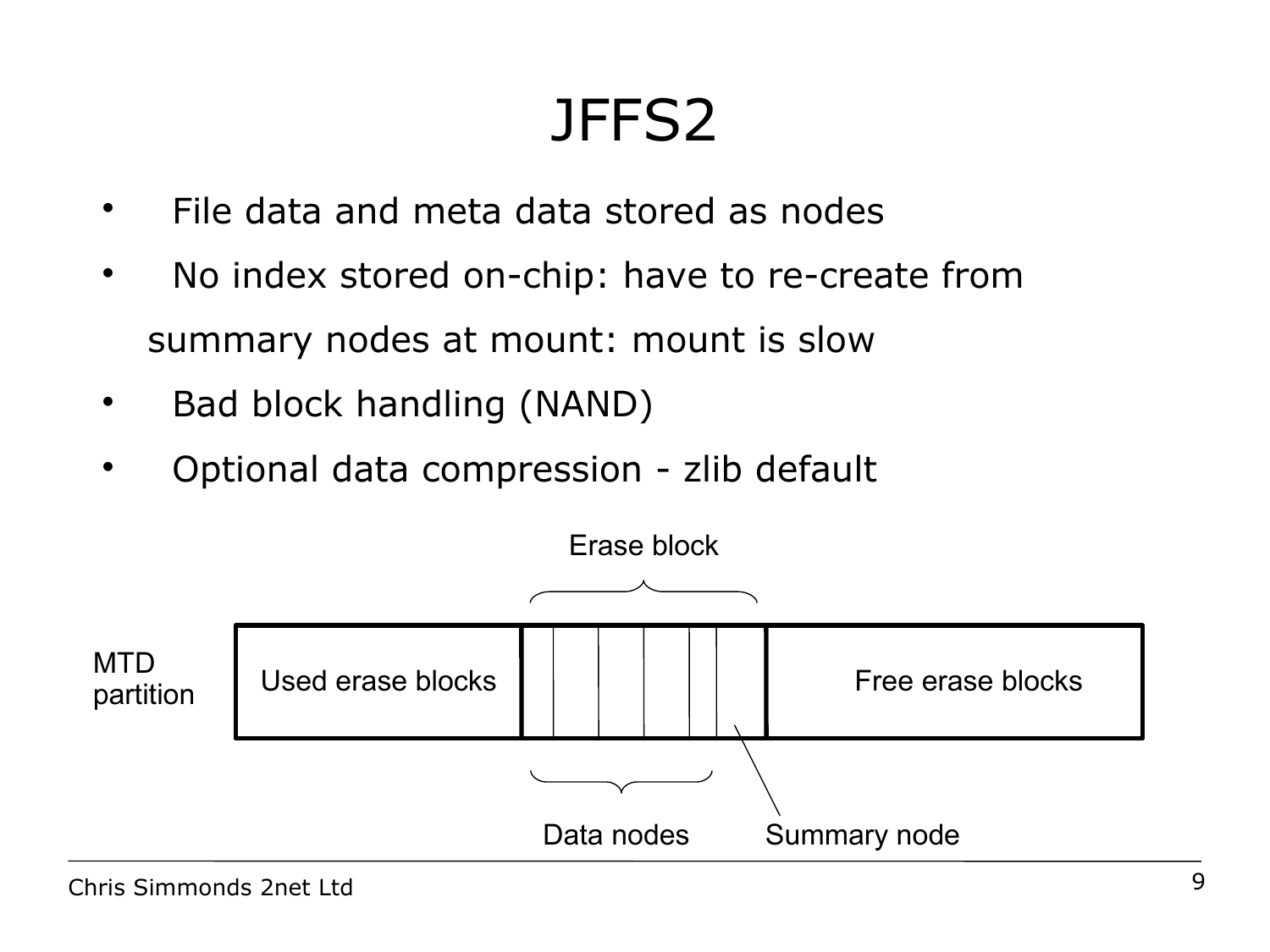#### JFFS2

- File data and meta data stored as nodes
- No index stored on-chip: have to re-create from summary nodes at mount: mount is slow
- Bad block handling (NAND)
- Optional data compression zlib default

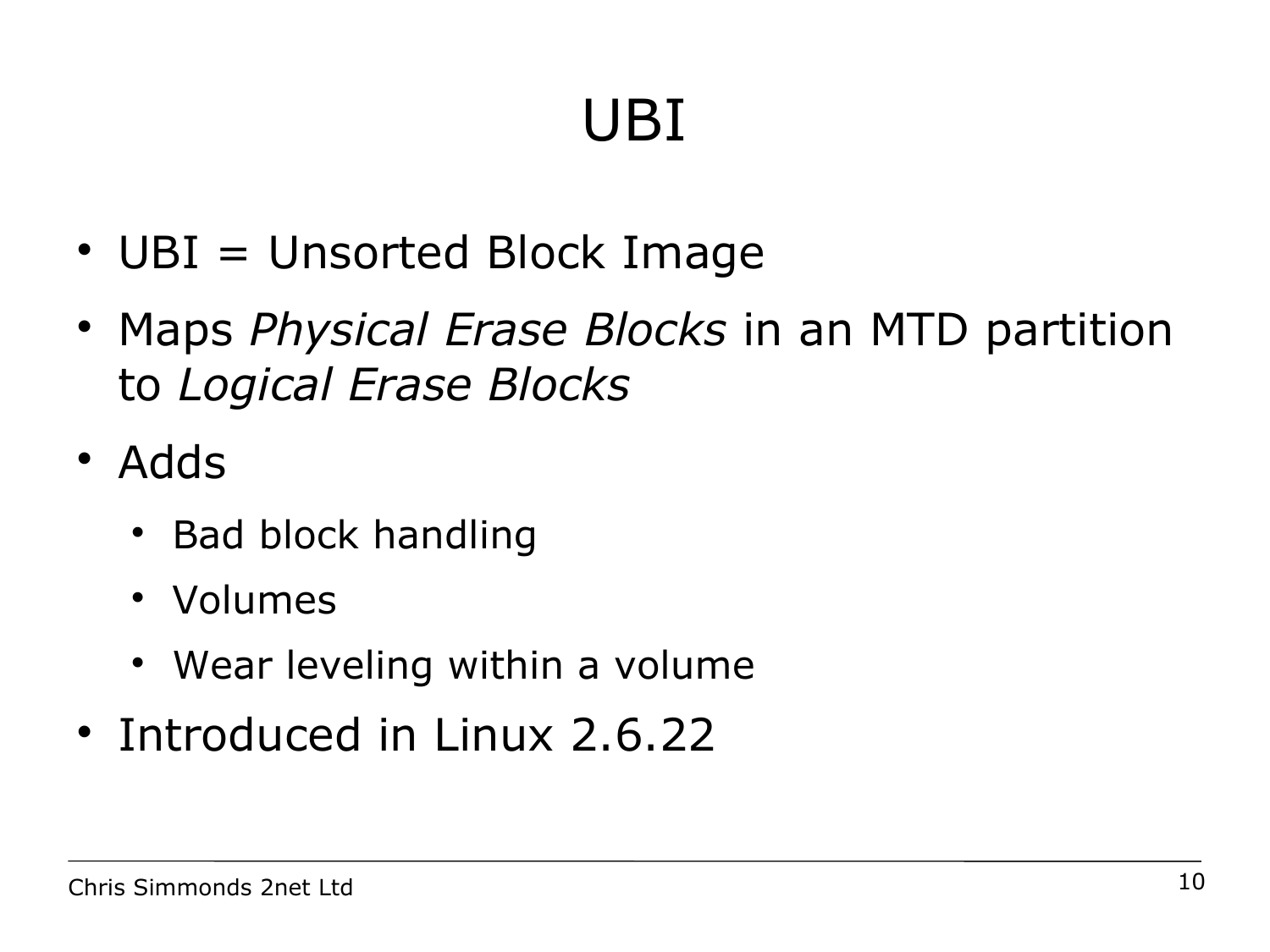# UBI

- UBI = Unsorted Block Image
- Maps *Physical Erase Blocks* in an MTD partition to *Logical Erase Blocks*
- Adds
	- Bad block handling
	- Volumes
	- Wear leveling within a volume
- Introduced in Linux 2.6.22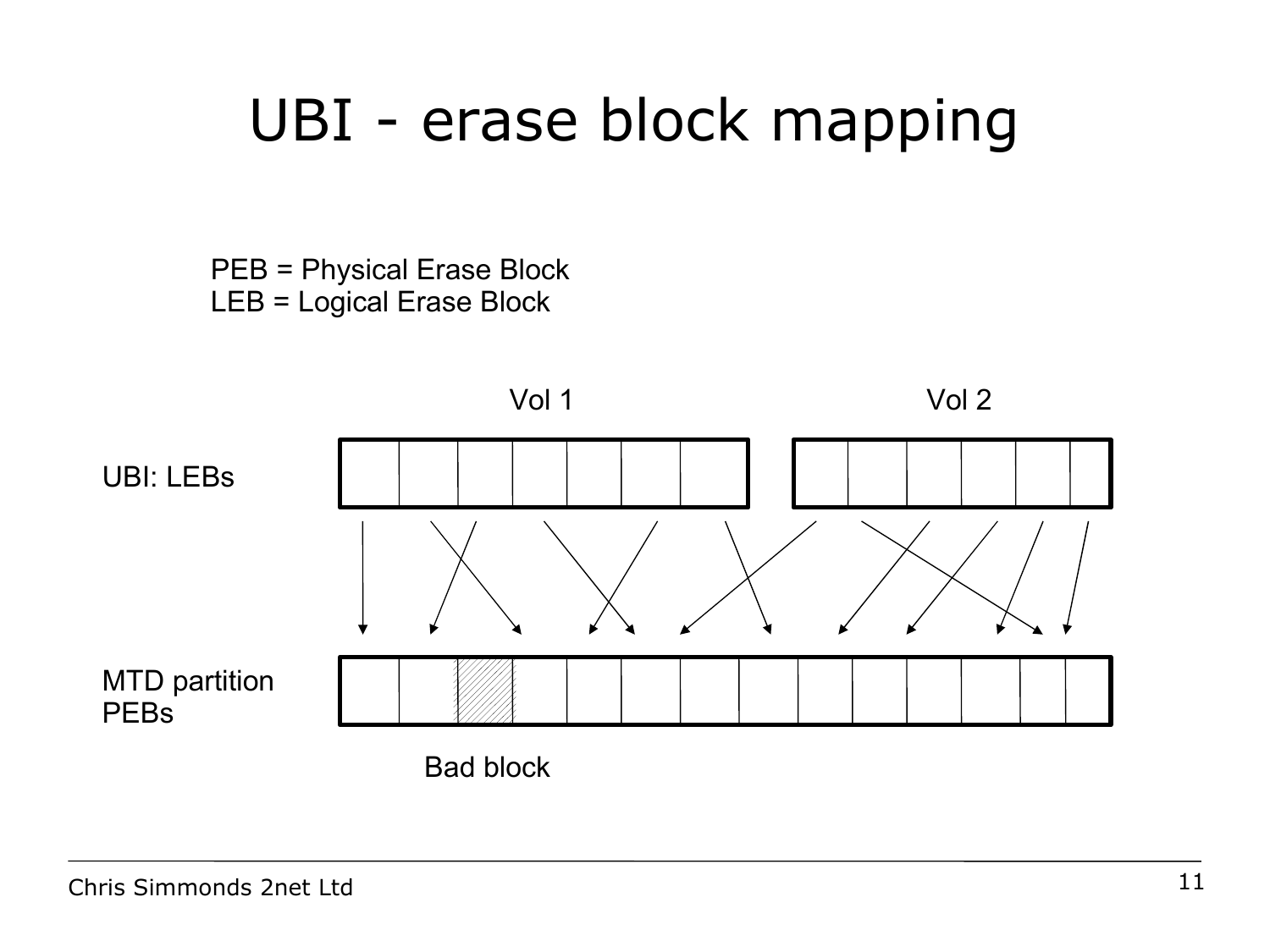#### UBI - erase block mapping

PEB = Physical Erase Block LEB = Logical Erase Block

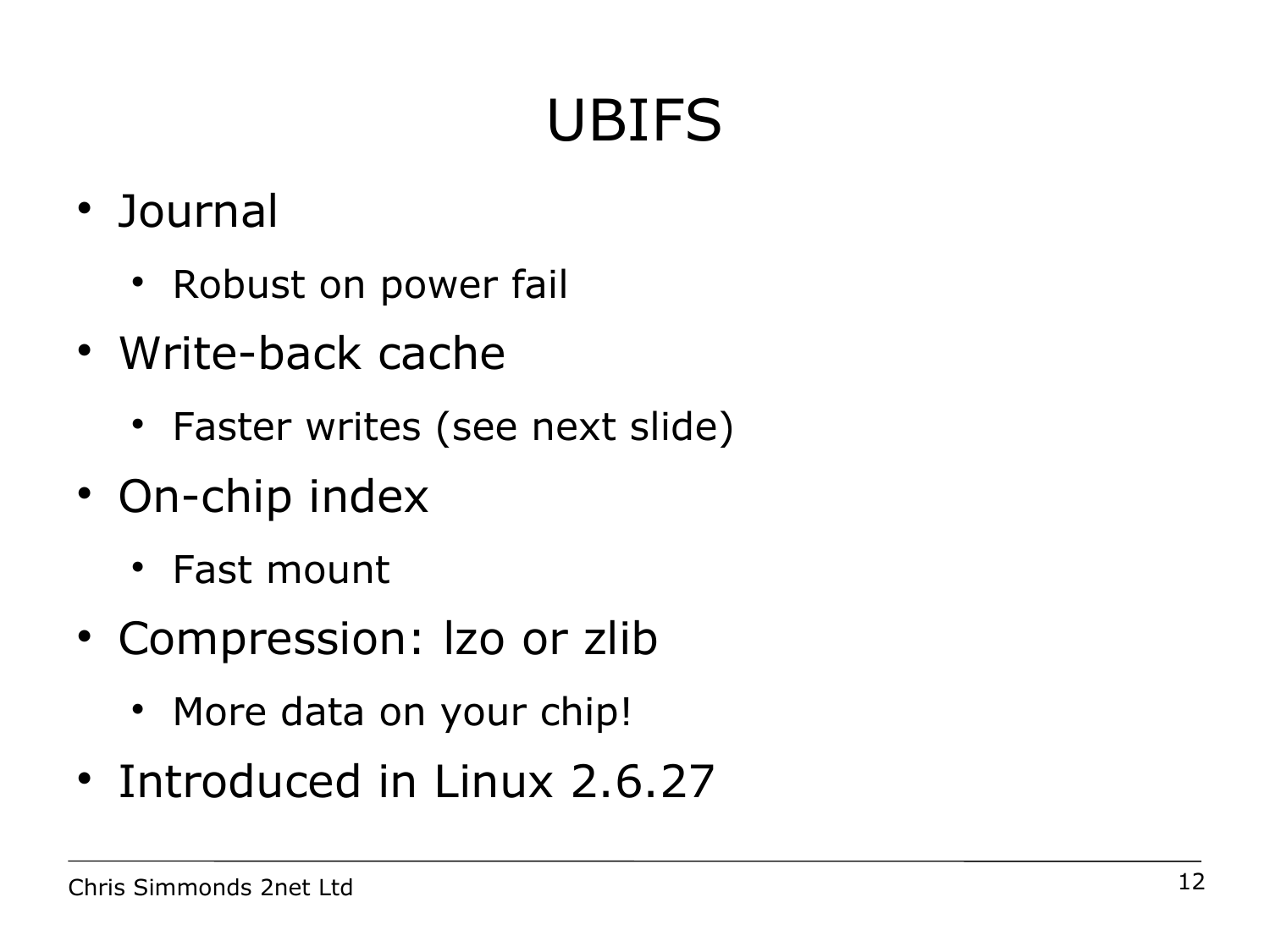# UBIFS

- Journal
	- Robust on power fail
- Write-back cache
	- Faster writes (see next slide)
- On-chip index
	- Fast mount
- Compression: lzo or zlib
	- More data on your chip!
- Introduced in Linux 2.6.27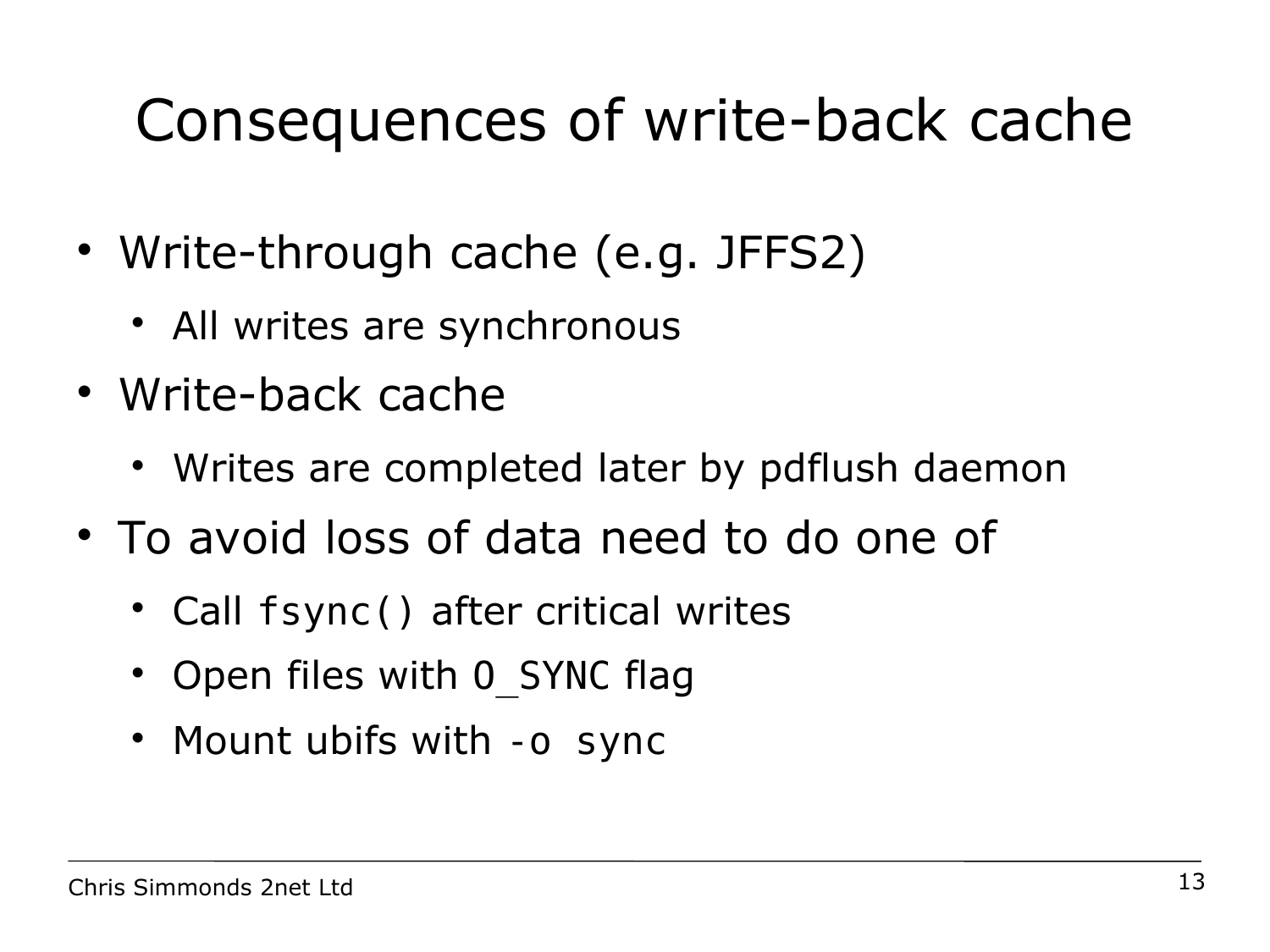# Consequences of write-back cache

- Write-through cache (e.g. JFFS2)
	- All writes are synchronous
- Write-back cache
	- Writes are completed later by pdflush daemon
- To avoid loss of data need to do one of
	- Call fsync() after critical writes
	- Open files with 0 SYNC flag
	- Mount ubifs with -0 sync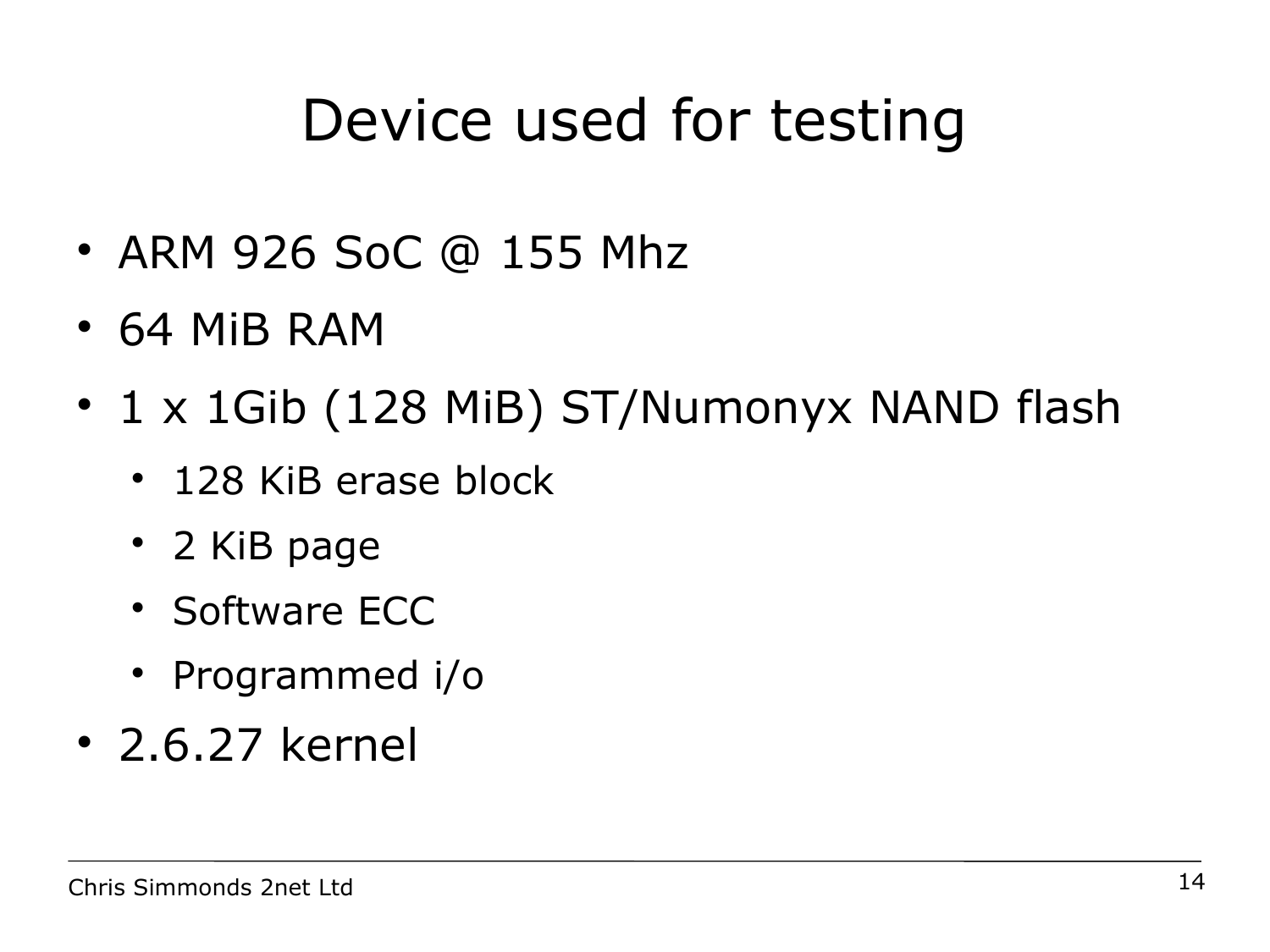### Device used for testing

- ARM 926 SoC @ 155 Mhz
- 64 MiB RAM
- 1 x 1Gib (128 MiB) ST/Numonyx NAND flash
	- 128 KiB erase block
	- 2 KiB page
	- Software ECC
	- Programmed i/o
- 2.6.27 kernel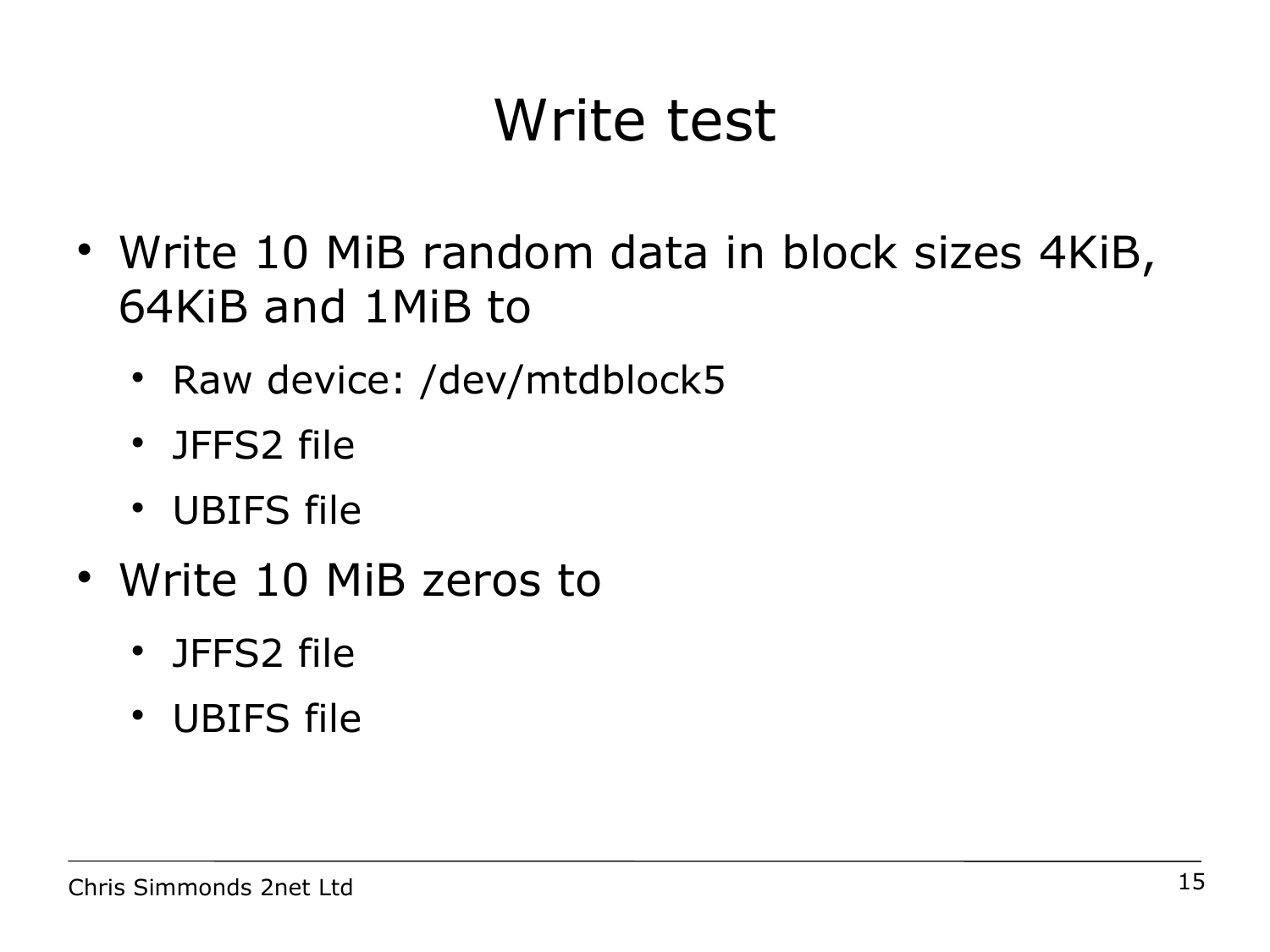### Write test

- Write 10 MiB random data in block sizes 4KiB, 64KiB and 1MiB to
	- Raw device: /dev/mtdblock5
	- JFFS2 file
	- UBIFS file
- Write 10 MiB zeros to
	- JFFS2 file
	- UBIFS file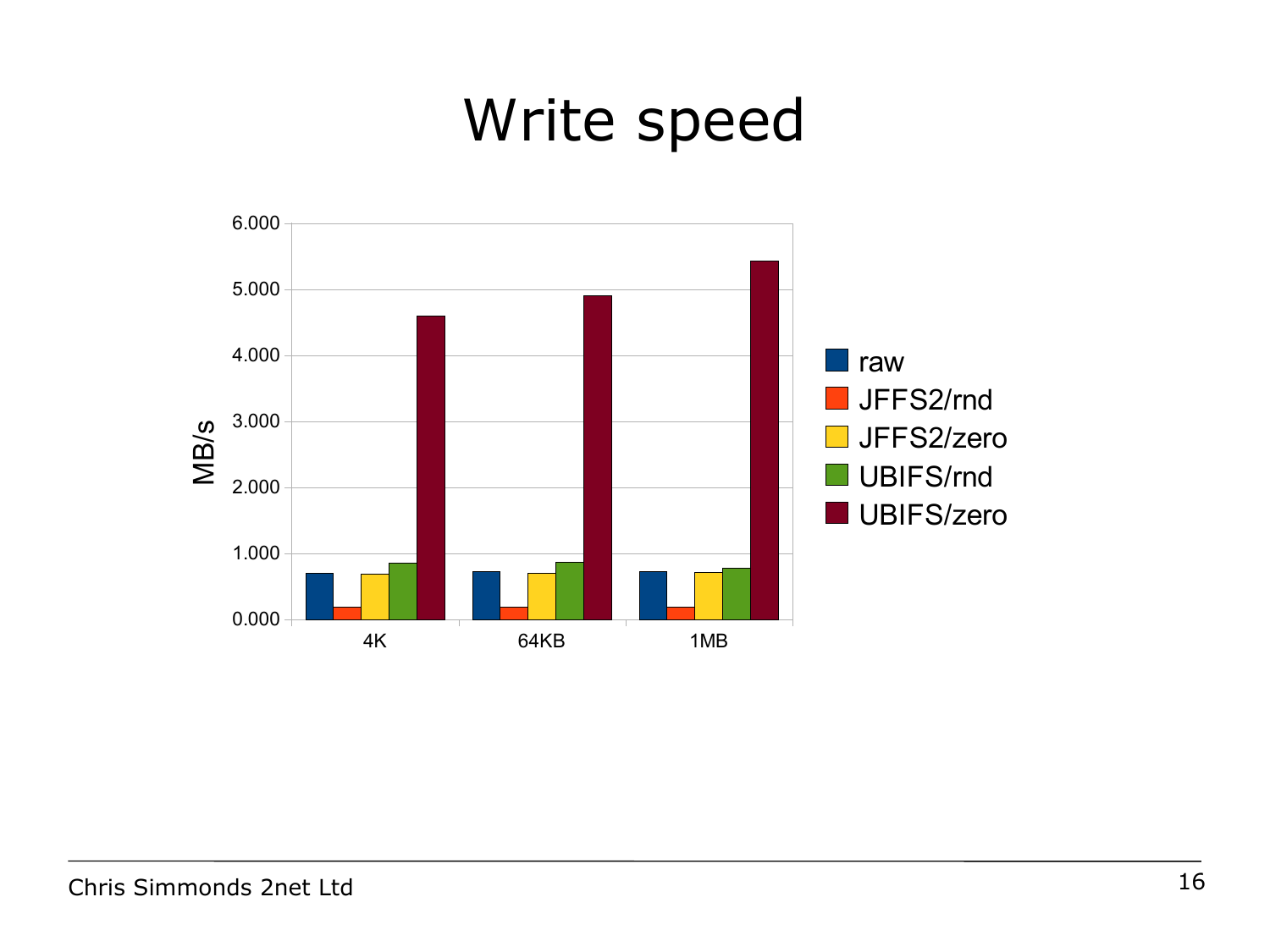#### Write speed

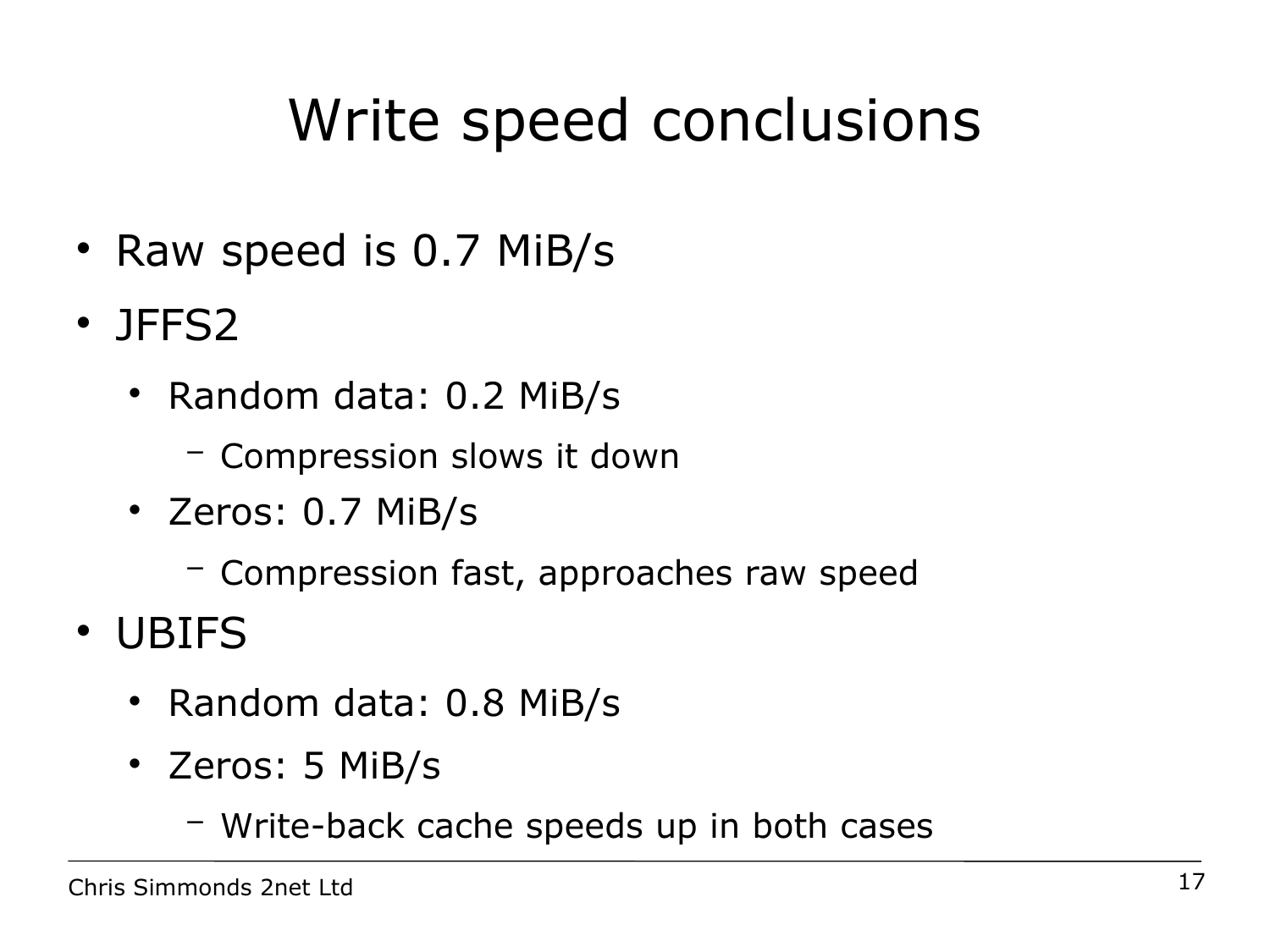## Write speed conclusions

- Raw speed is 0.7 MiB/s
- JFFS2
	- Random data: 0.2 MiB/s
		- − Compression slows it down
	- Zeros: 0.7 MiB/s
		- − Compression fast, approaches raw speed
- UBIFS
	- Random data: 0.8 MiB/s
	- Zeros: 5 MiB/s
		- − Write-back cache speeds up in both cases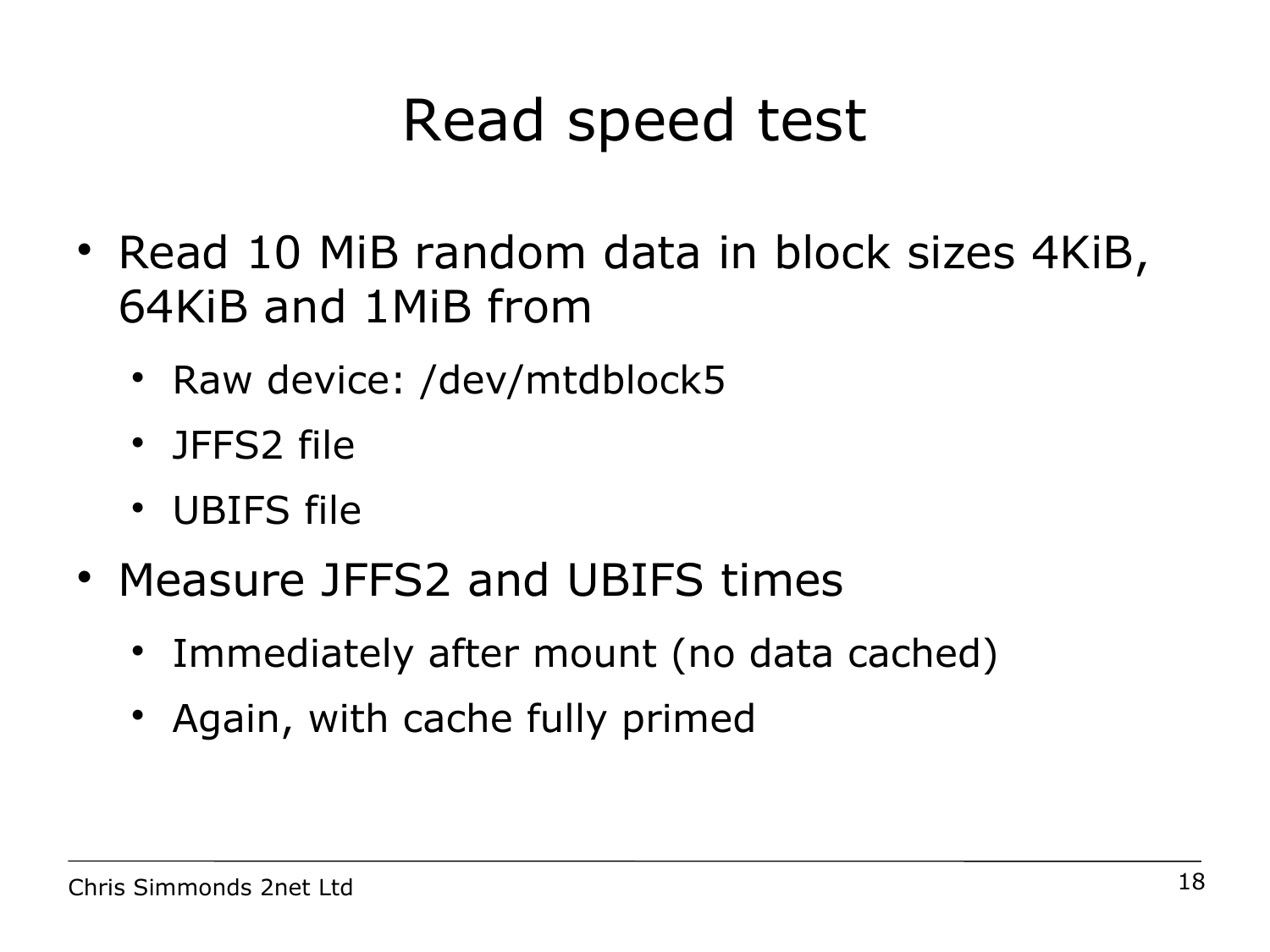### Read speed test

- Read 10 MiB random data in block sizes 4KiB, 64KiB and 1MiB from
	- Raw device: /dev/mtdblock5
	- JFFS2 file
	- UBIFS file
- Measure JFFS2 and UBIFS times
	- Immediately after mount (no data cached)
	- Again, with cache fully primed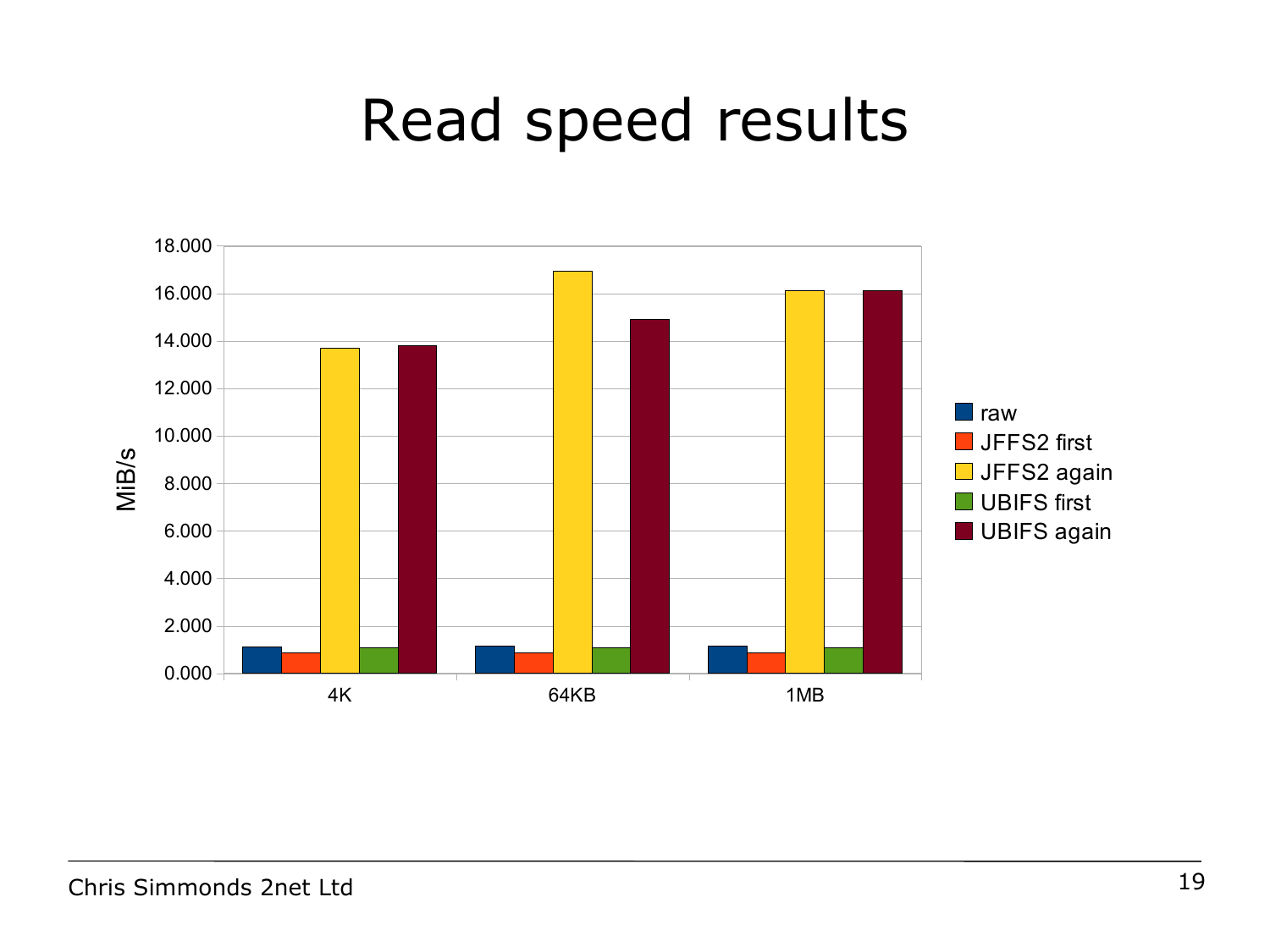#### Read speed results

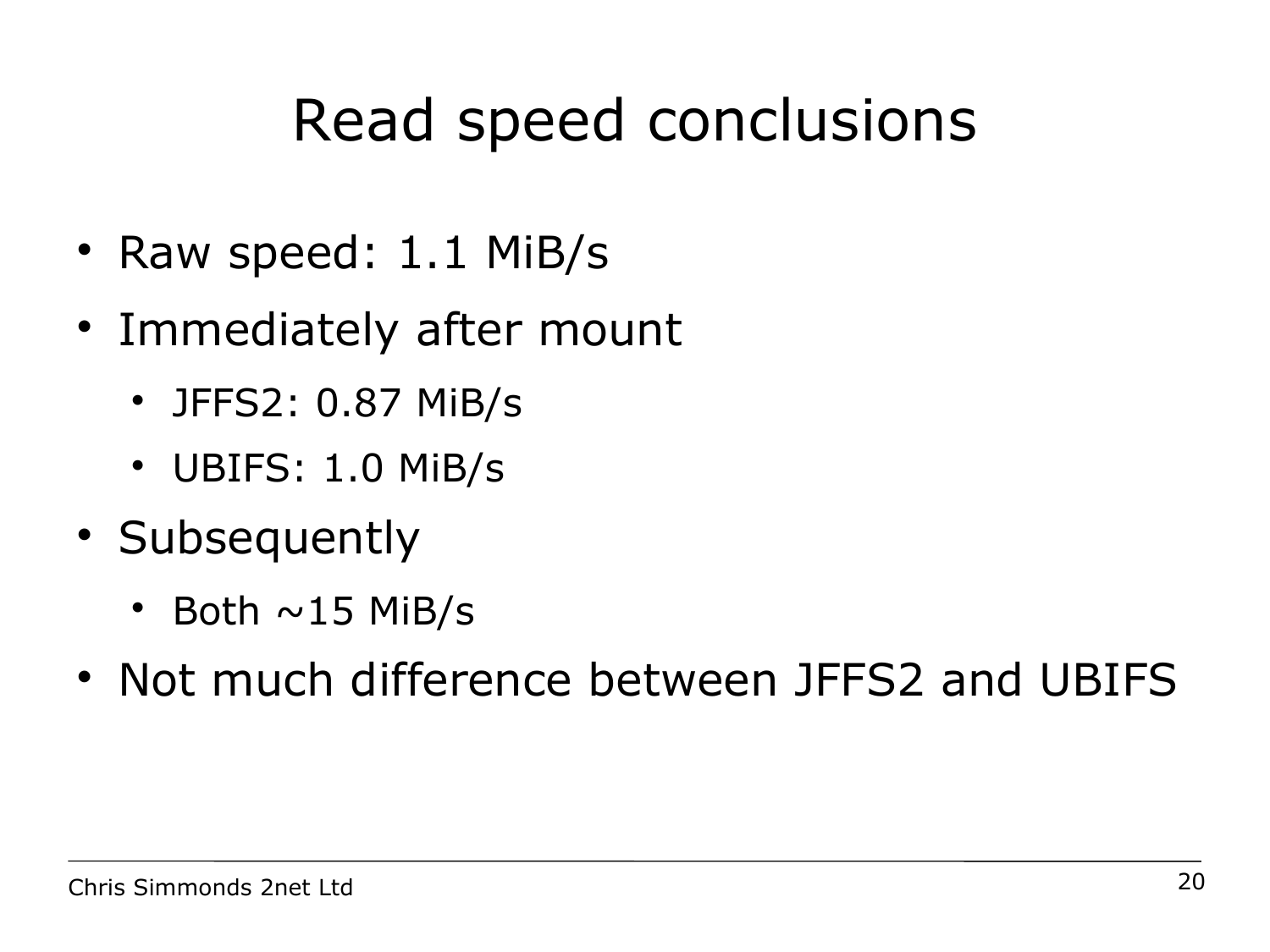#### Read speed conclusions

- Raw speed: 1.1 MiB/s
- Immediately after mount
	- JFFS2: 0.87 MiB/s
	- UBIFS: 1.0 MiB/s
- Subsequently
	- Both  $\sim$  15 MiB/s
- Not much difference between JFFS2 and UBIFS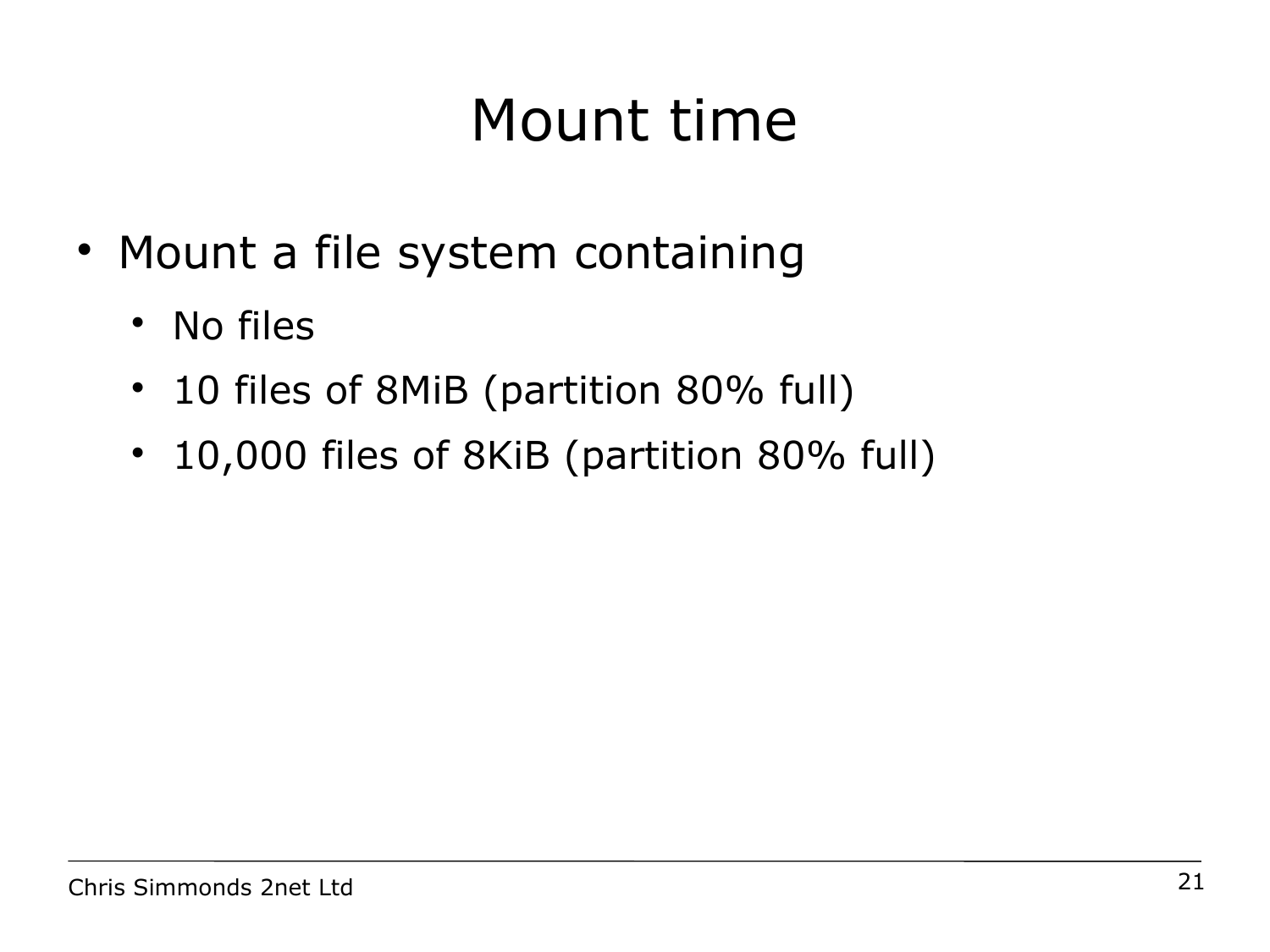# Mount time

- Mount a file system containing
	- No files
	- 10 files of 8MiB (partition 80% full)
	- 10,000 files of 8KiB (partition 80% full)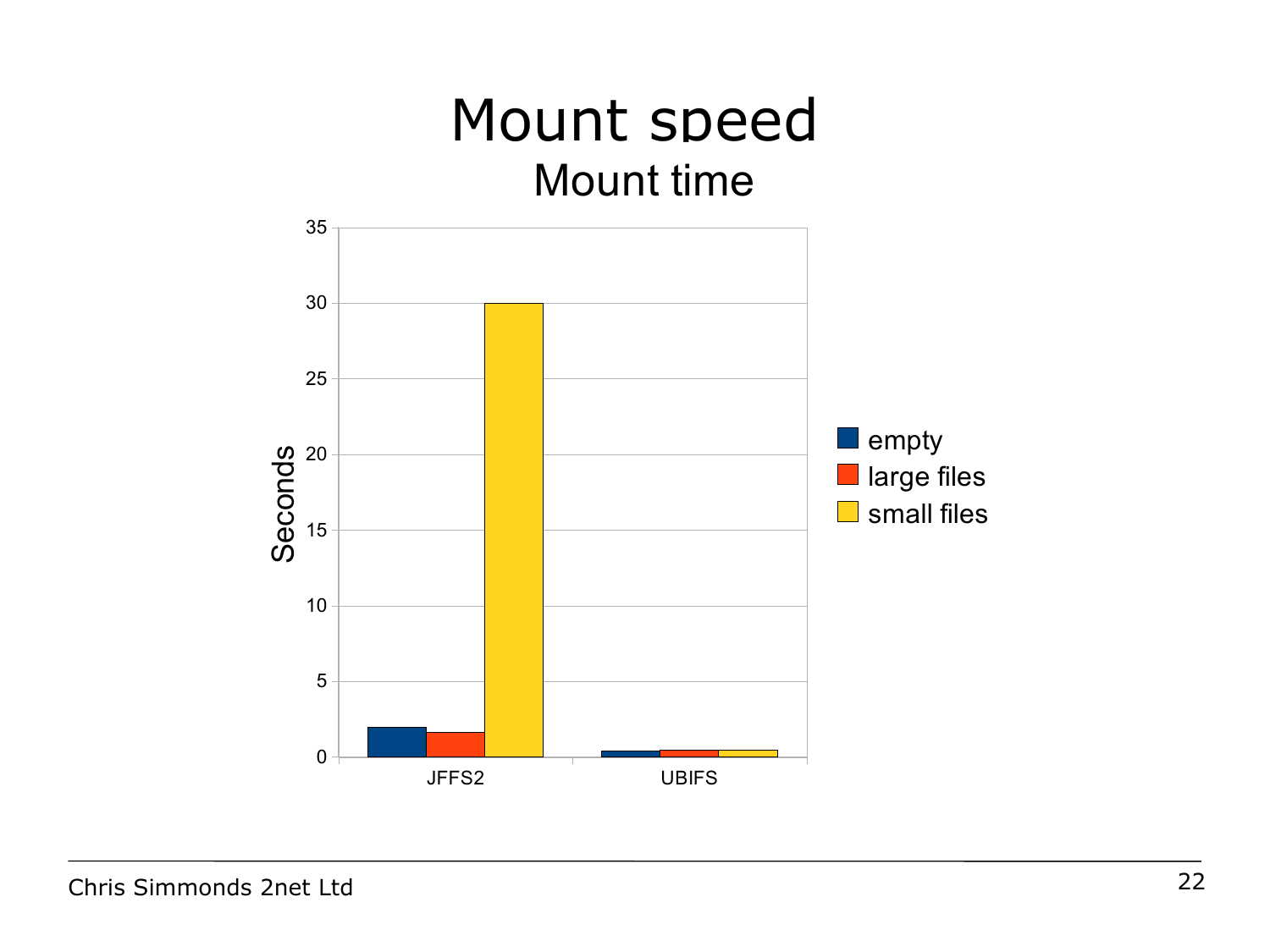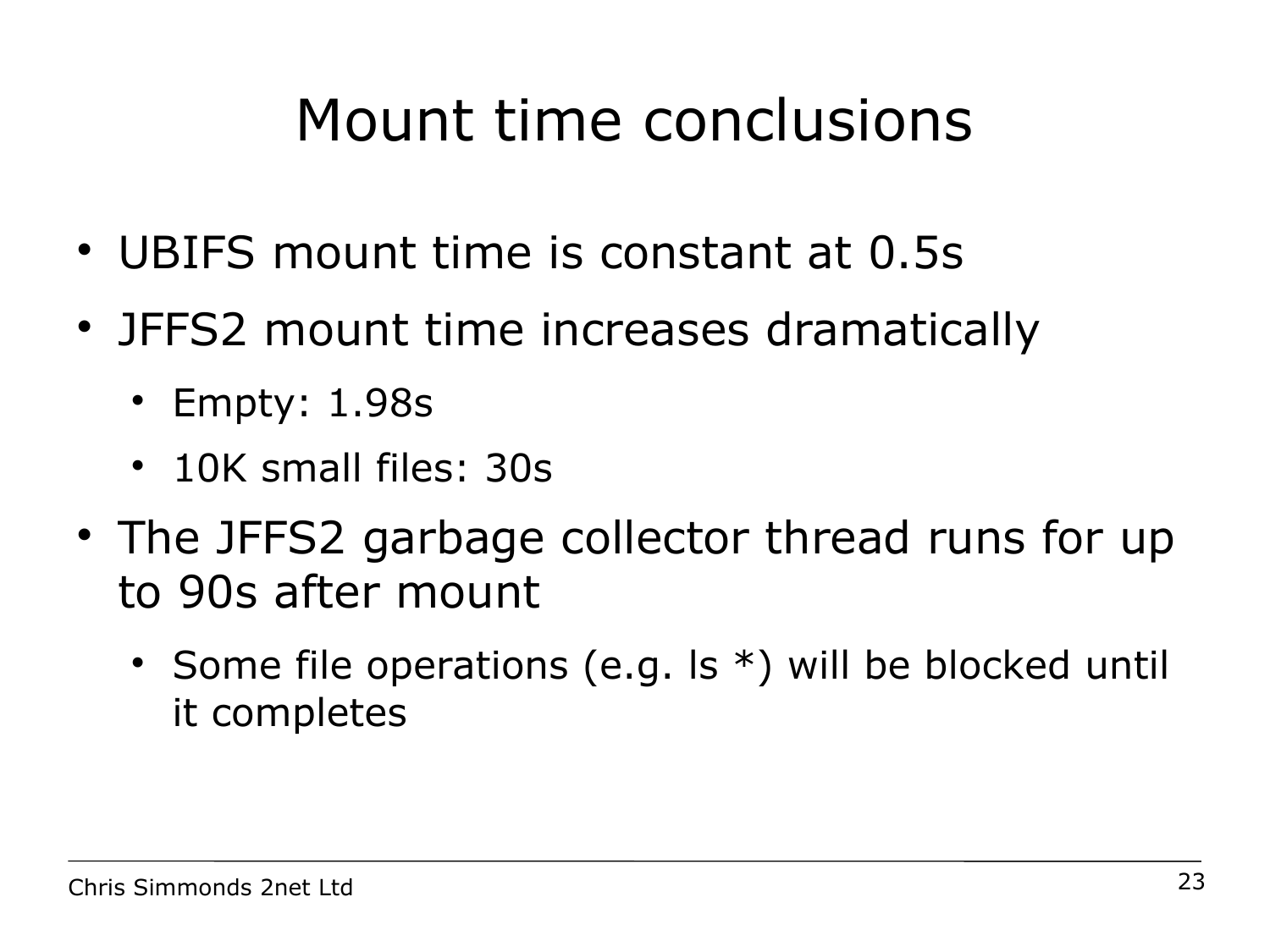#### Mount time conclusions

- UBIFS mount time is constant at 0.5s
- JFFS2 mount time increases dramatically
	- Empty: 1.98s
	- 10K small files: 30s
- The JFFS2 garbage collector thread runs for up to 90s after mount
	- Some file operations (e.g. Is  $*$ ) will be blocked until it completes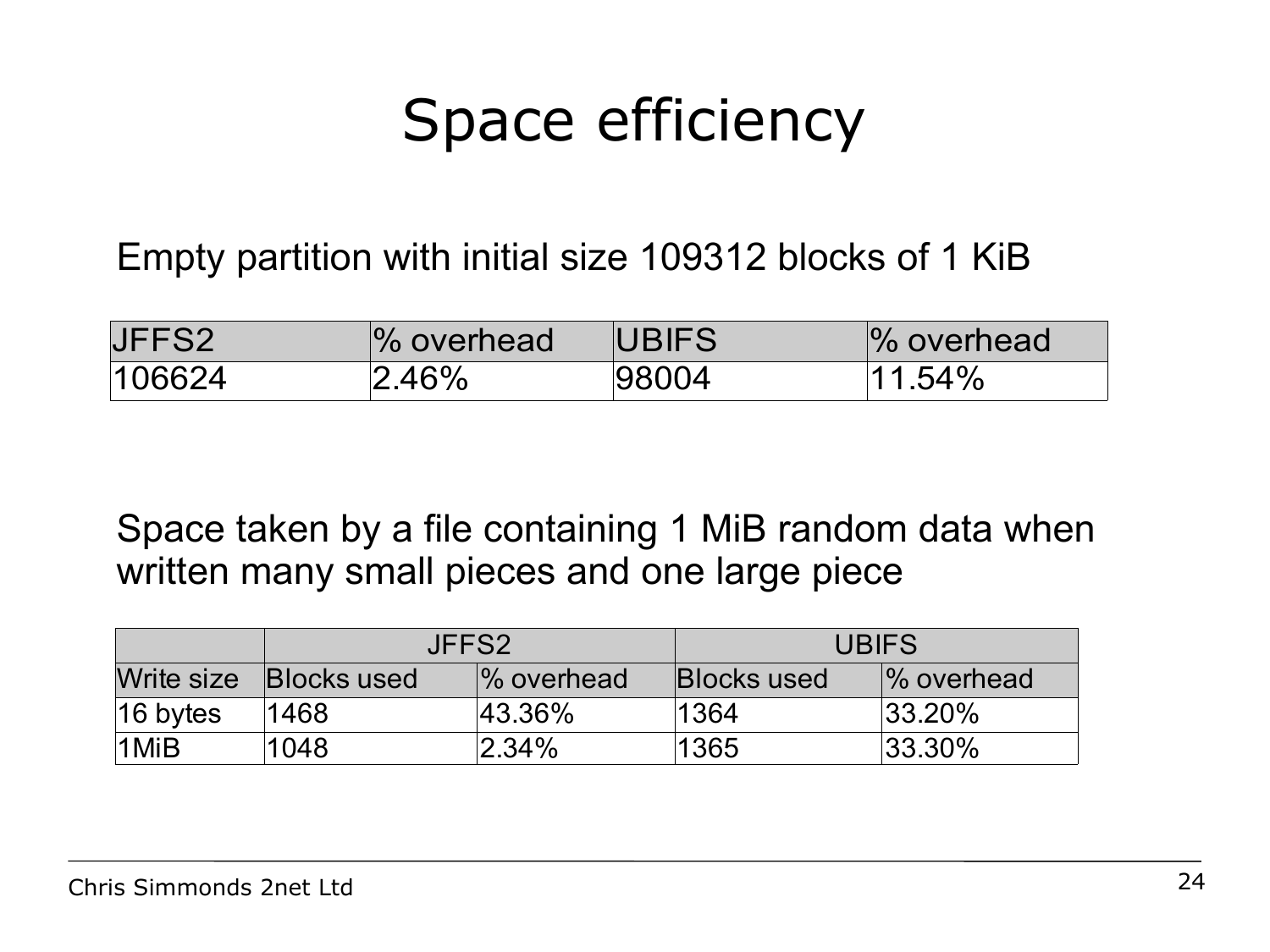# Space efficiency

#### Empty partition with initial size 109312 blocks of 1 KiB

| JFFS2  | % overhead | <b>UBIFS</b> | % overhead |
|--------|------------|--------------|------------|
| 106624 | $2.46\%$   | 98004        | $.54\%$    |

Space taken by a file containing 1 MiB random data when written many small pieces and one large piece

|                      | JFFS2                         |                        | <b>UBIFS</b>       |             |
|----------------------|-------------------------------|------------------------|--------------------|-------------|
|                      | Write size <b>Blocks</b> used | $\frac{1}{6}$ overhead | <b>Blocks used</b> | 1% overhead |
| $ 16 \text{ bytes} $ | 1468                          | $ 43.36\%$             | 1364               | $ 33.20\%$  |
| 1MiB                 | 1048                          | $ 2.34\%$              | 1365               | $ 33.30\% $ |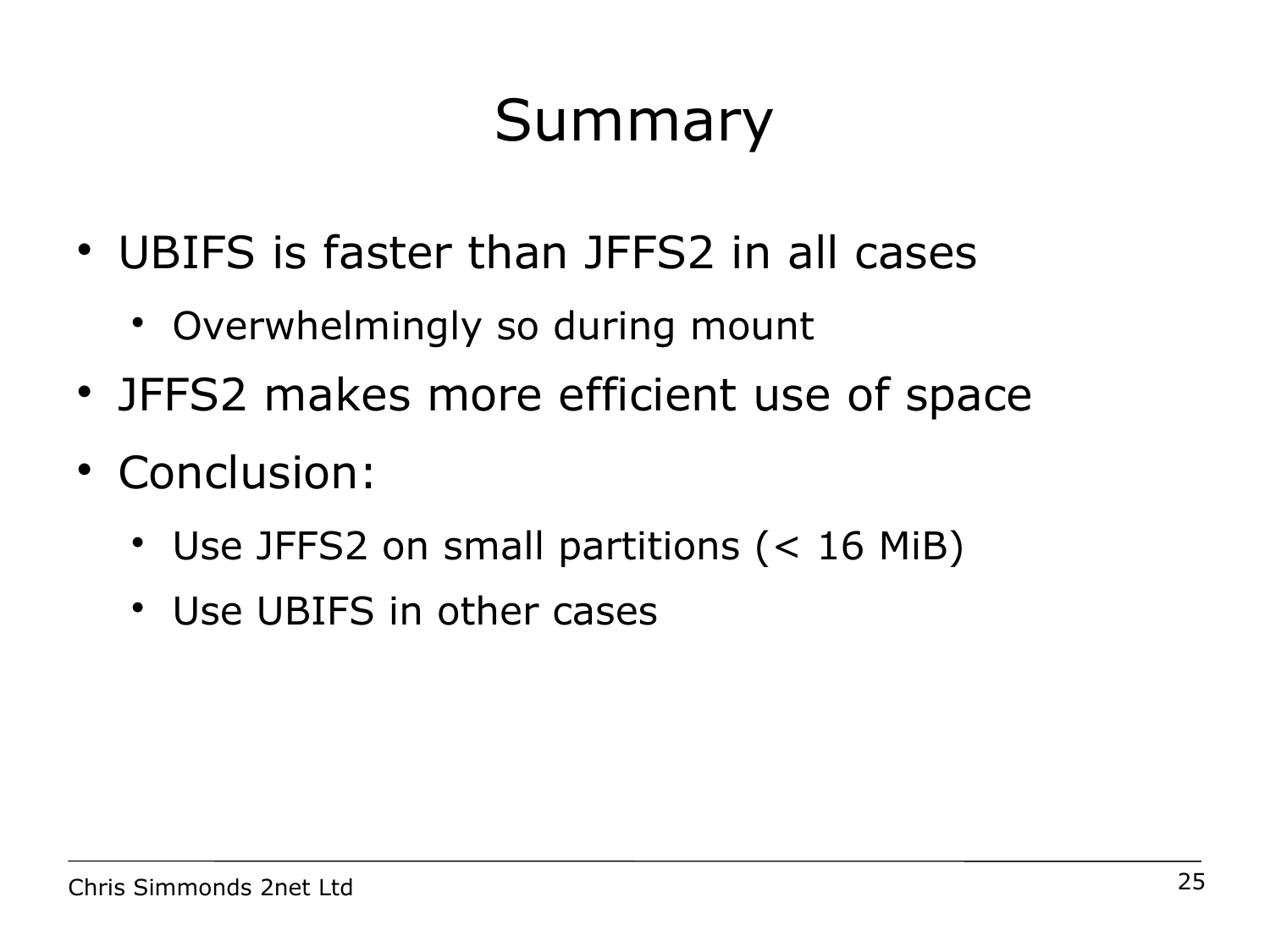# Summary

- UBIFS is faster than JFFS2 in all cases
	- Overwhelmingly so during mount
- JFFS2 makes more efficient use of space
- Conclusion:
	- Use JFFS2 on small partitions (< 16 MiB)
	- Use UBIFS in other cases